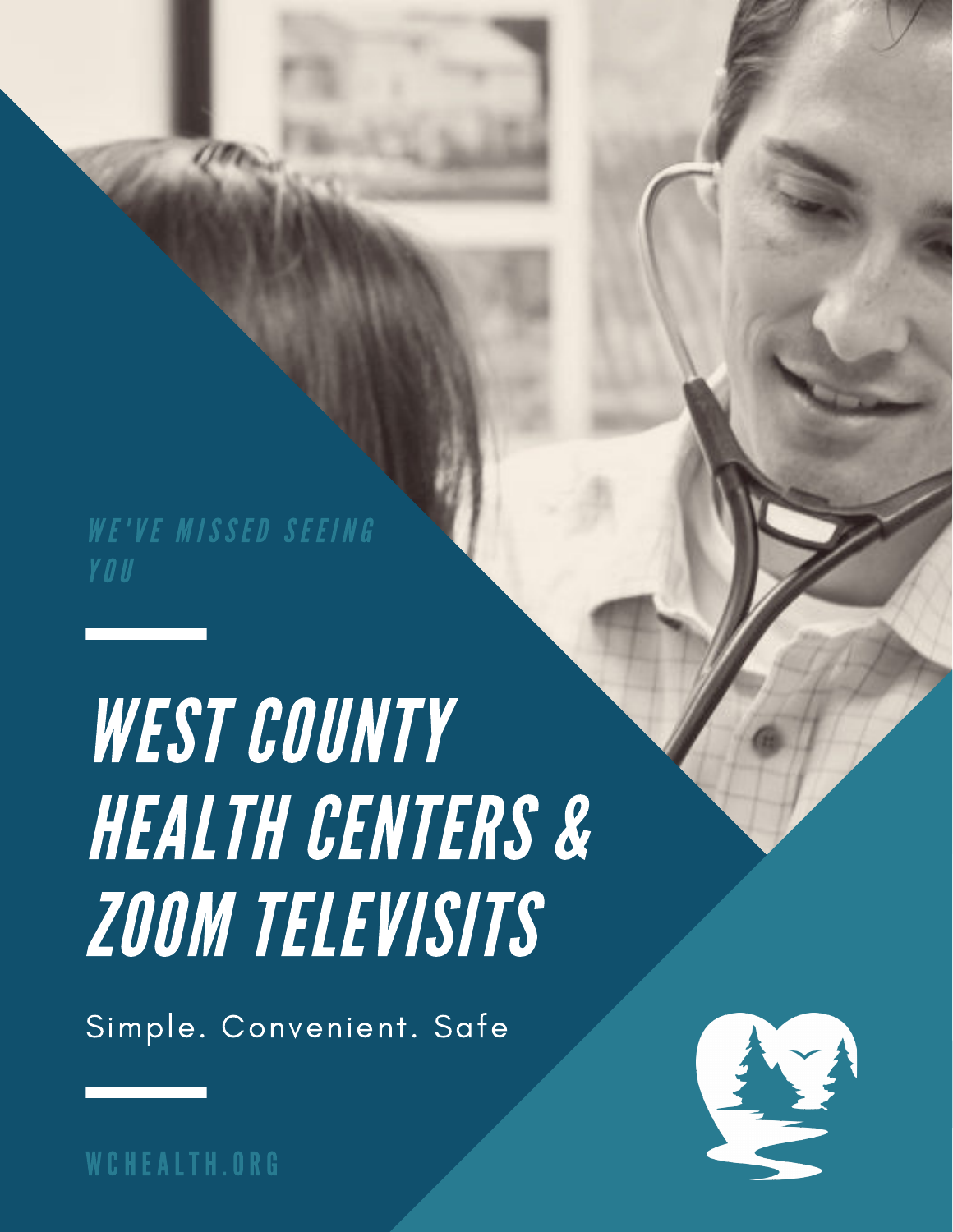WE'VE MISSED SEEING

# WEST COUNTY HEALTH CENTERS & ZOOM TELEVISITS

Simple. Convenient. Safe



WCHEALTH.ORG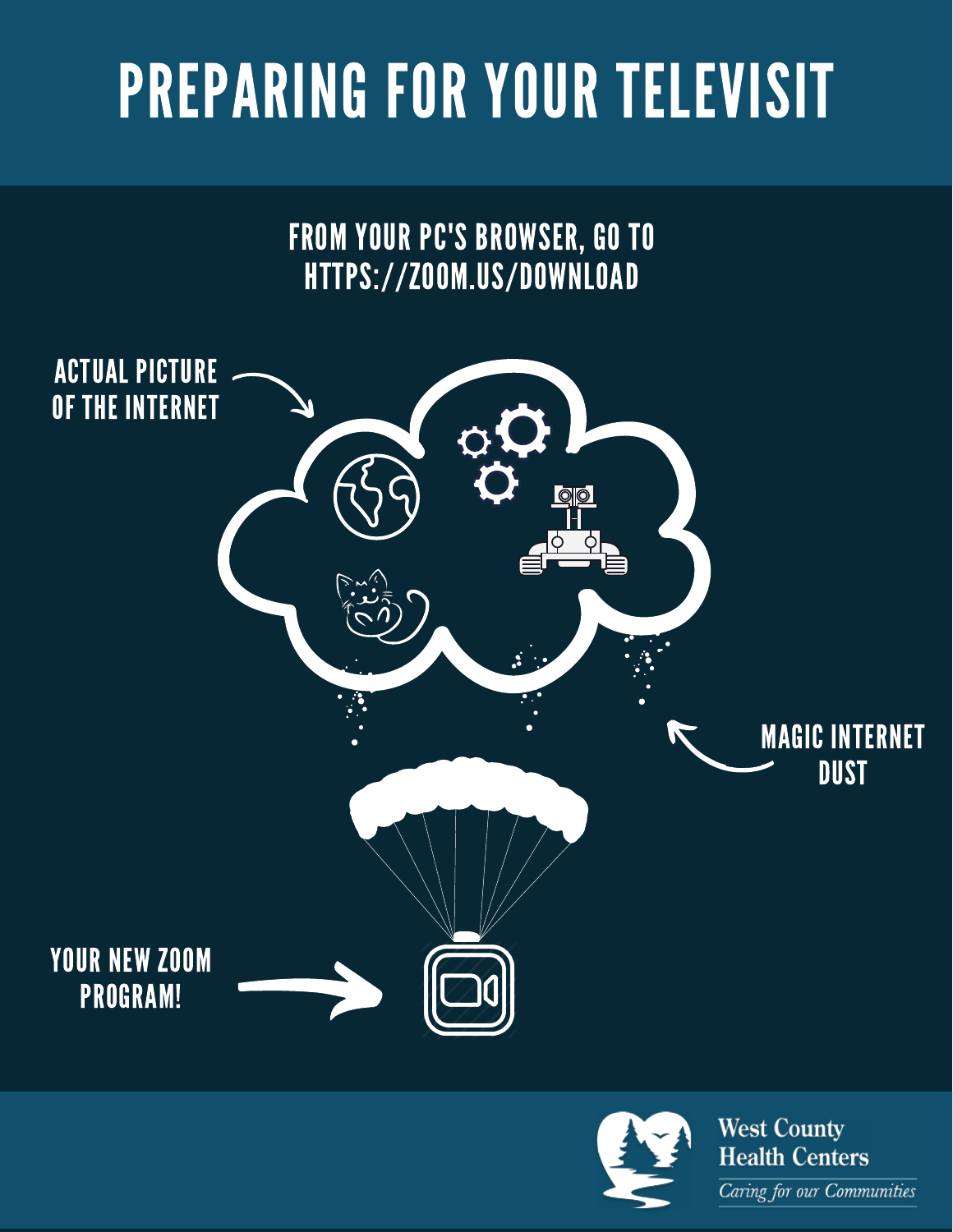# PREPARING FOR YOUR TELEVISIT

FROM YOUR PC'S BROWSER, GO TO HTTPS://ZOOM.US/DOWNLOAD



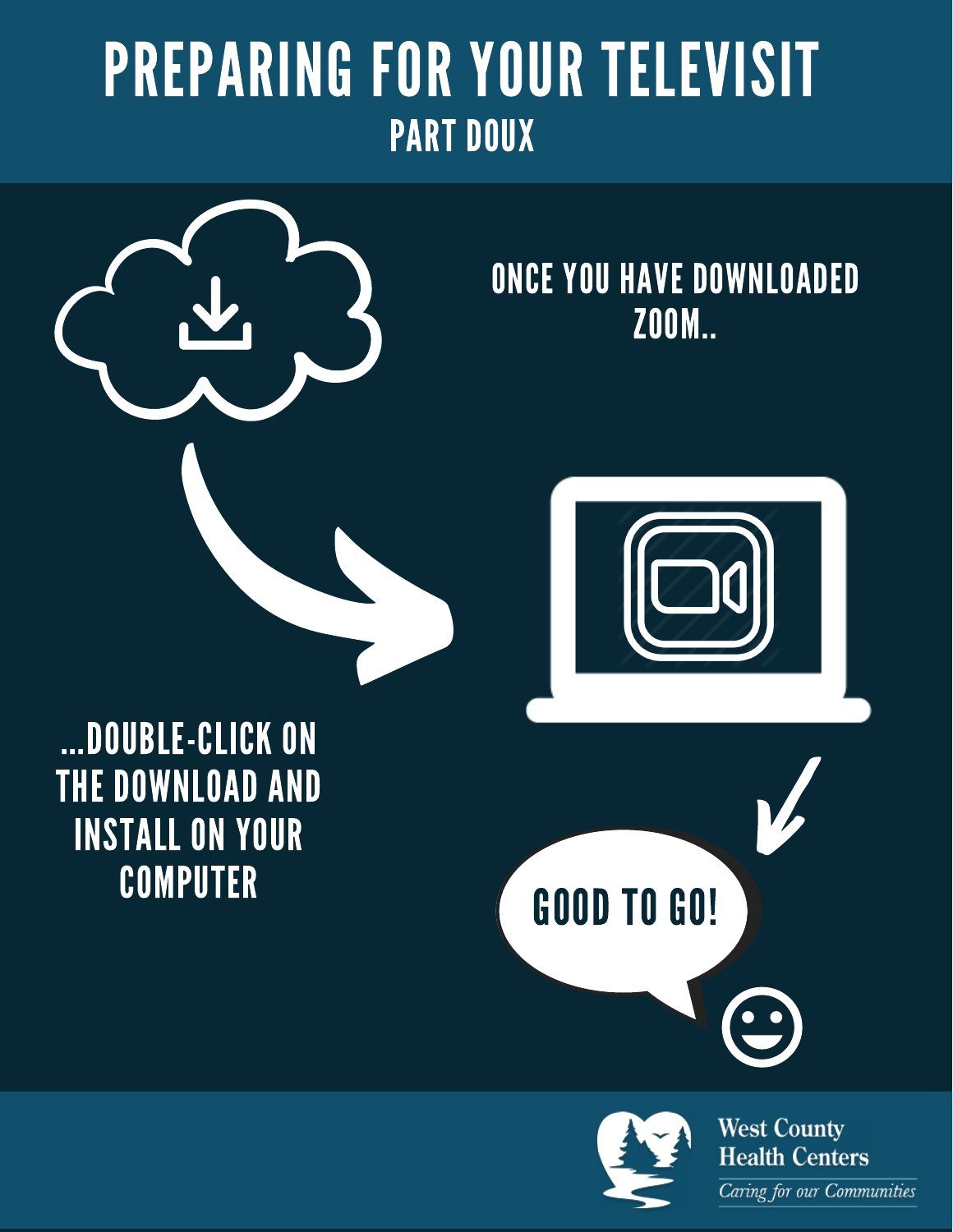# PREPARING FOR YOUR TELEVISIT PART DOUX



#### ONCE YOU HAVE DOWNLOADED ZOOM..



...DOUBLE-CLICK ON THE DOWNLOAD AND INSTALL ON YOUR **COMPUTER** 



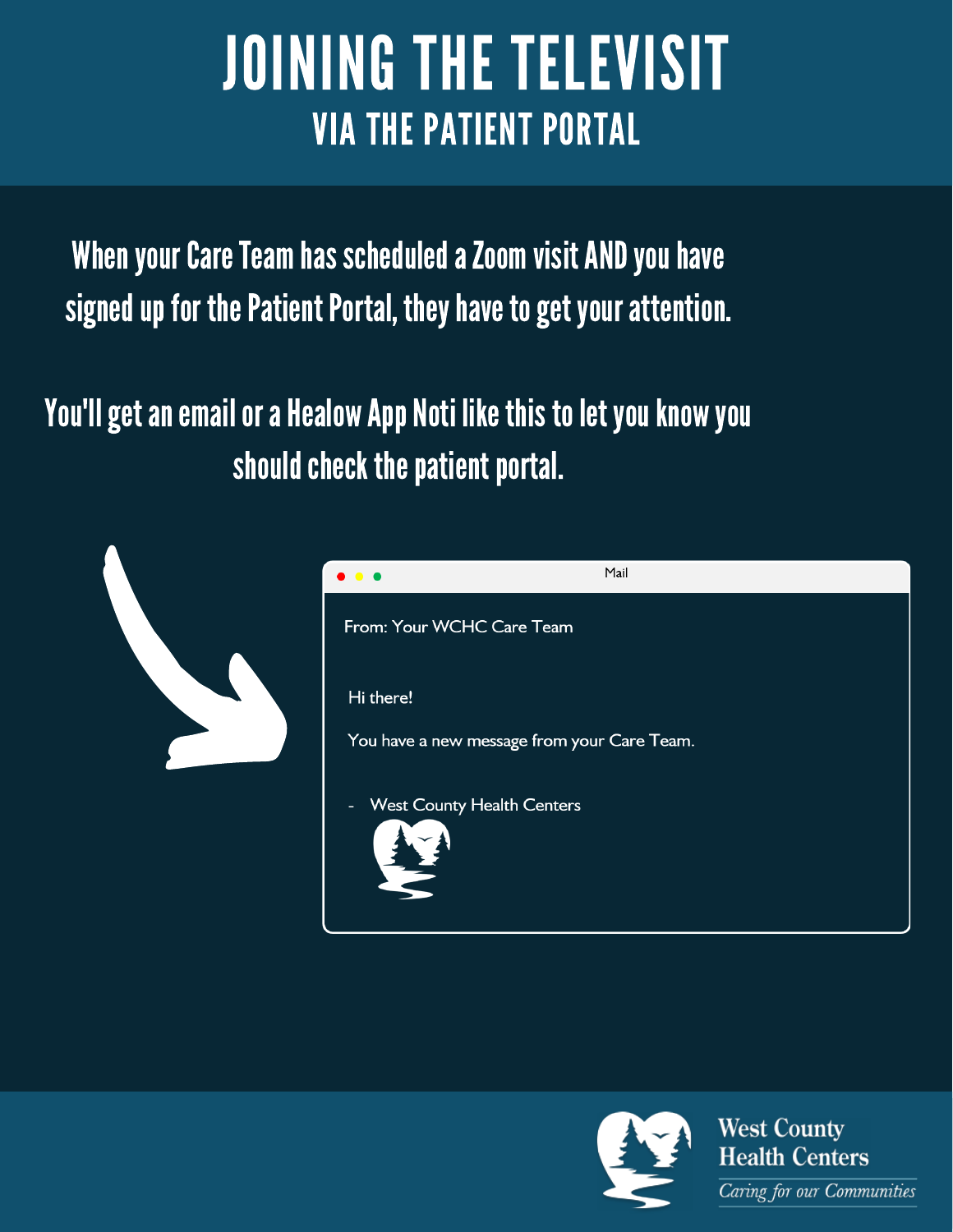# **JOINING THE TELEVISIT VIA THE PATIENT PORTAL**

When your Care Team has scheduled a Zoom visit AND you have signed up for the Patient Portal, they have to get your attention.

You'll get an email or a Healow App Noti like this to let you know you should check the patient portal.





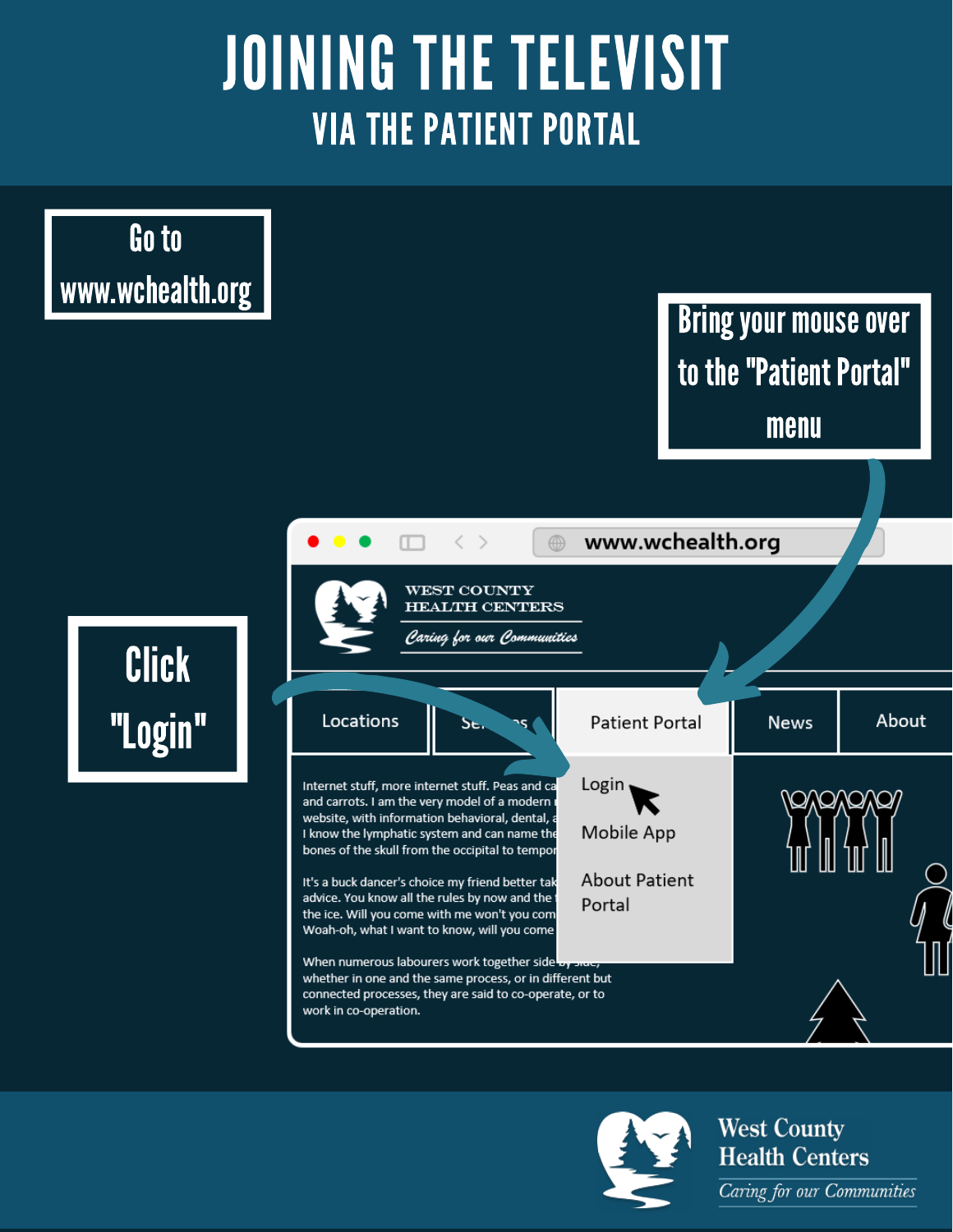# **JOINING THE TELEVISIT VIA THE PATIENT PORTAL**



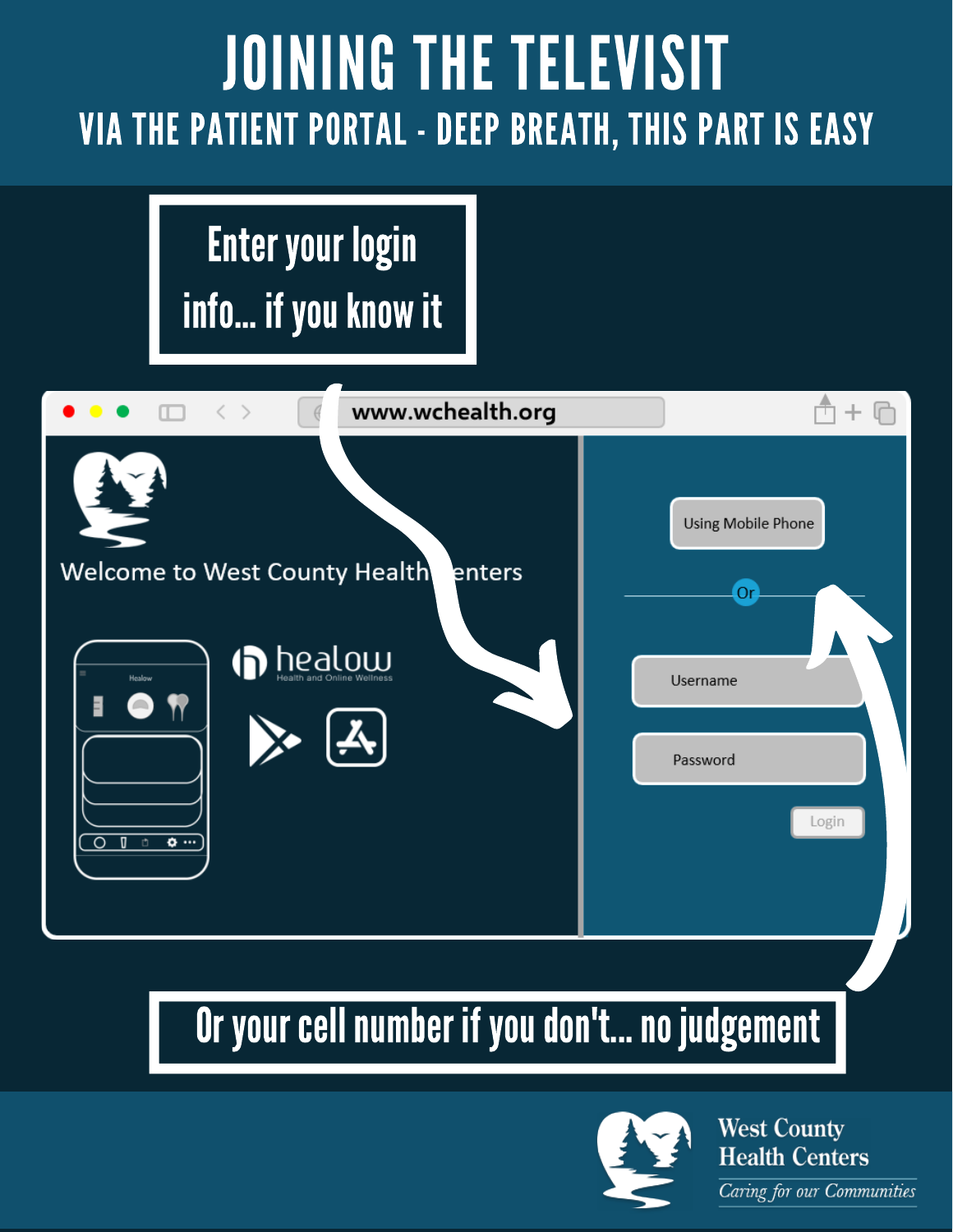# **JOINING THE TELEVISIT VIA THE PATIENT PORTAL - DEEP BREATH, THIS PART IS EASY**

### **Enter your login** info... if you know it



#### Or your cell number if you don't... no judgement

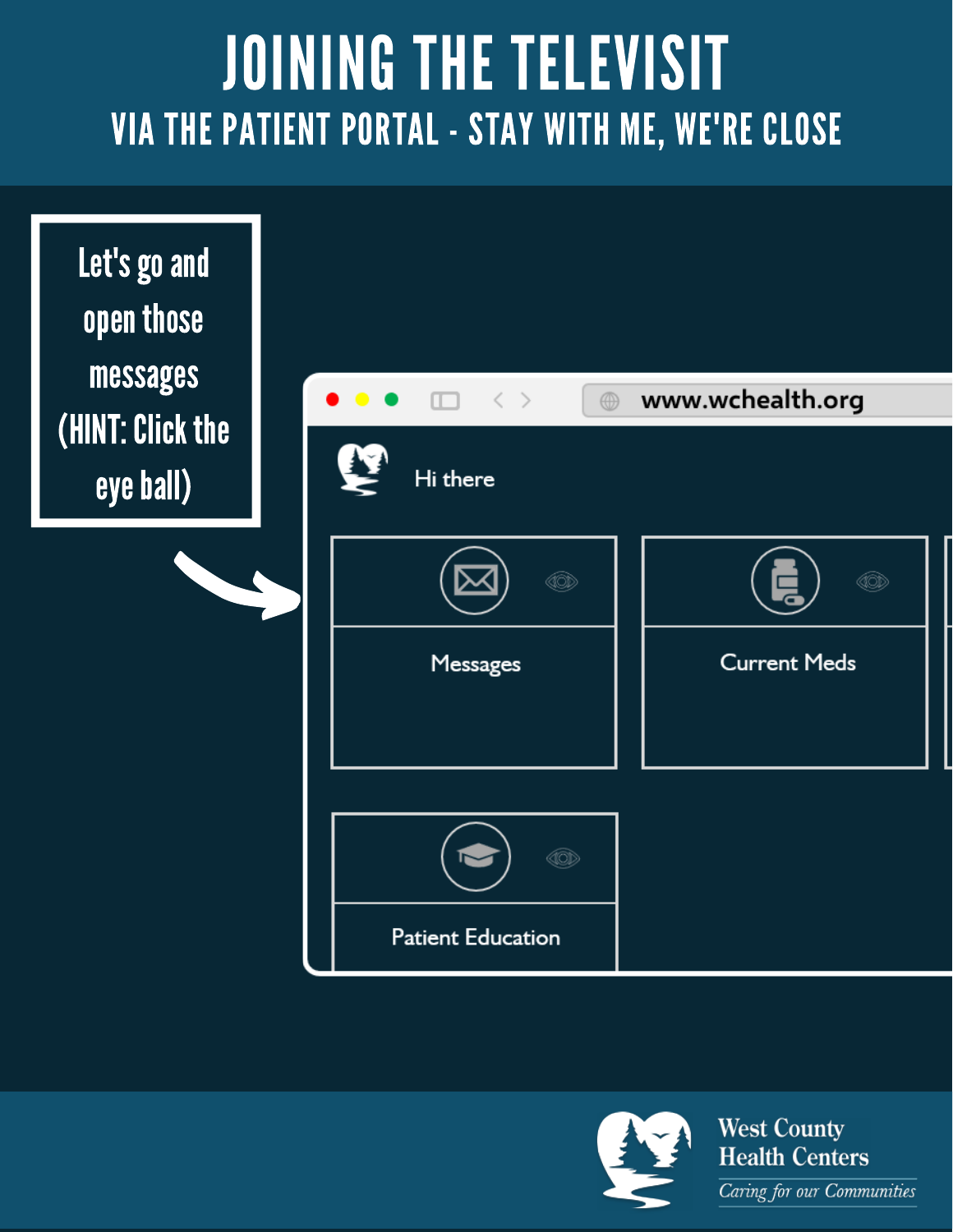### JOINING THE TELEVISIT VIA THE PATIENT PORTAL - STAY WITH ME, WE'RE CLOSE





**Health Centers** Caring for our Communities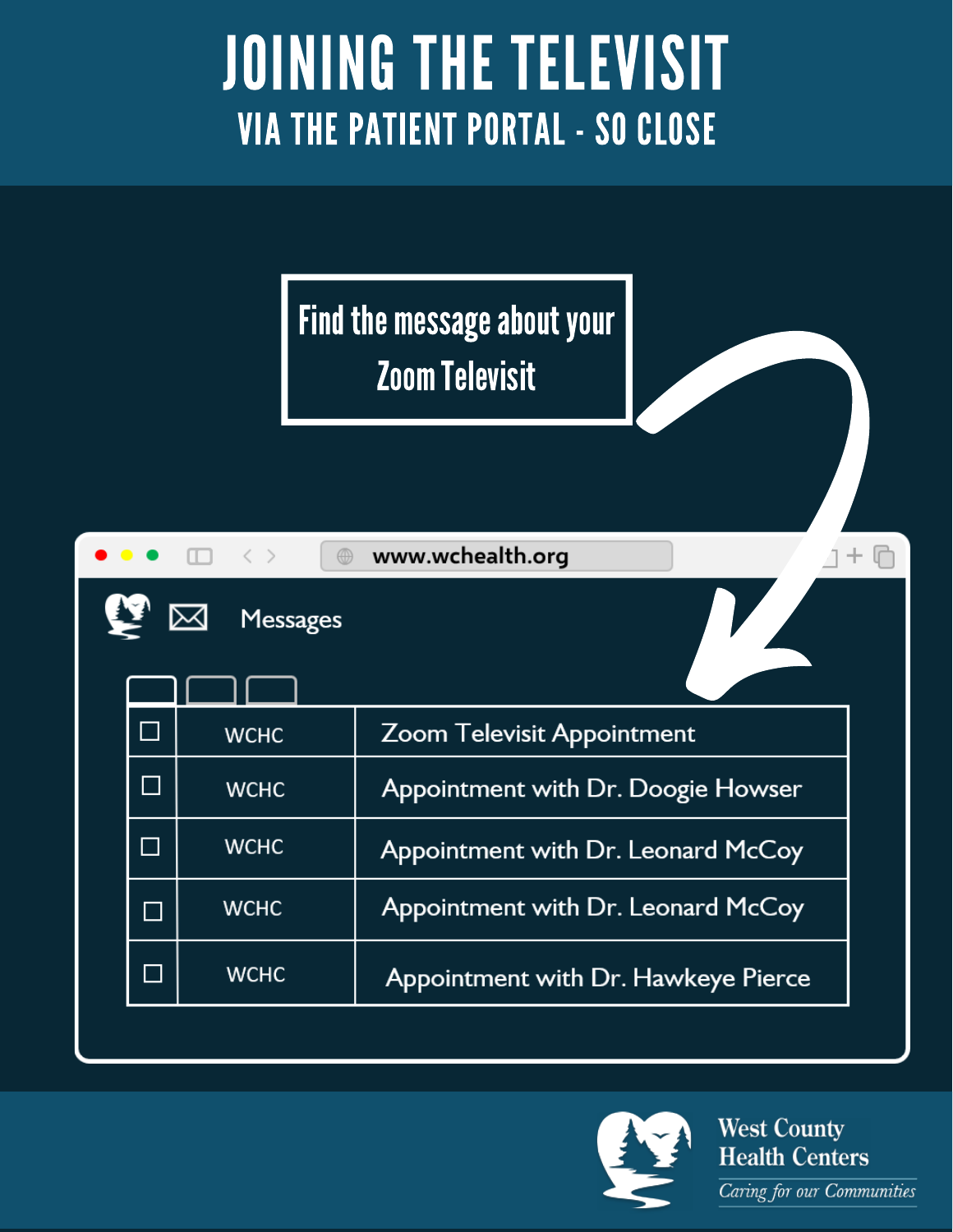# **JOINING THE TELEVISIT VIA THE PATIENT PORTAL - SO CLOSE**

Find the message about your **Zoom Televisit** 

|                             | $\square \quad \langle \ \rangle$<br>$\circledcirc$ | www.wchealth.org                    |  |
|-----------------------------|-----------------------------------------------------|-------------------------------------|--|
|                             | <b>Messages</b>                                     |                                     |  |
| $\Box$                      | <b>WCHC</b>                                         | <b>Zoom Televisit Appointment</b>   |  |
|                             | <b>WCHC</b>                                         | Appointment with Dr. Doogie Howser  |  |
| $\mathcal{L}^{\mathcal{L}}$ | <b>WCHC</b>                                         | Appointment with Dr. Leonard McCoy  |  |
| $\mathbb{R}^3$              | <b>WCHC</b>                                         | Appointment with Dr. Leonard McCoy  |  |
|                             | <b>WCHC</b>                                         | Appointment with Dr. Hawkeye Pierce |  |
|                             |                                                     |                                     |  |

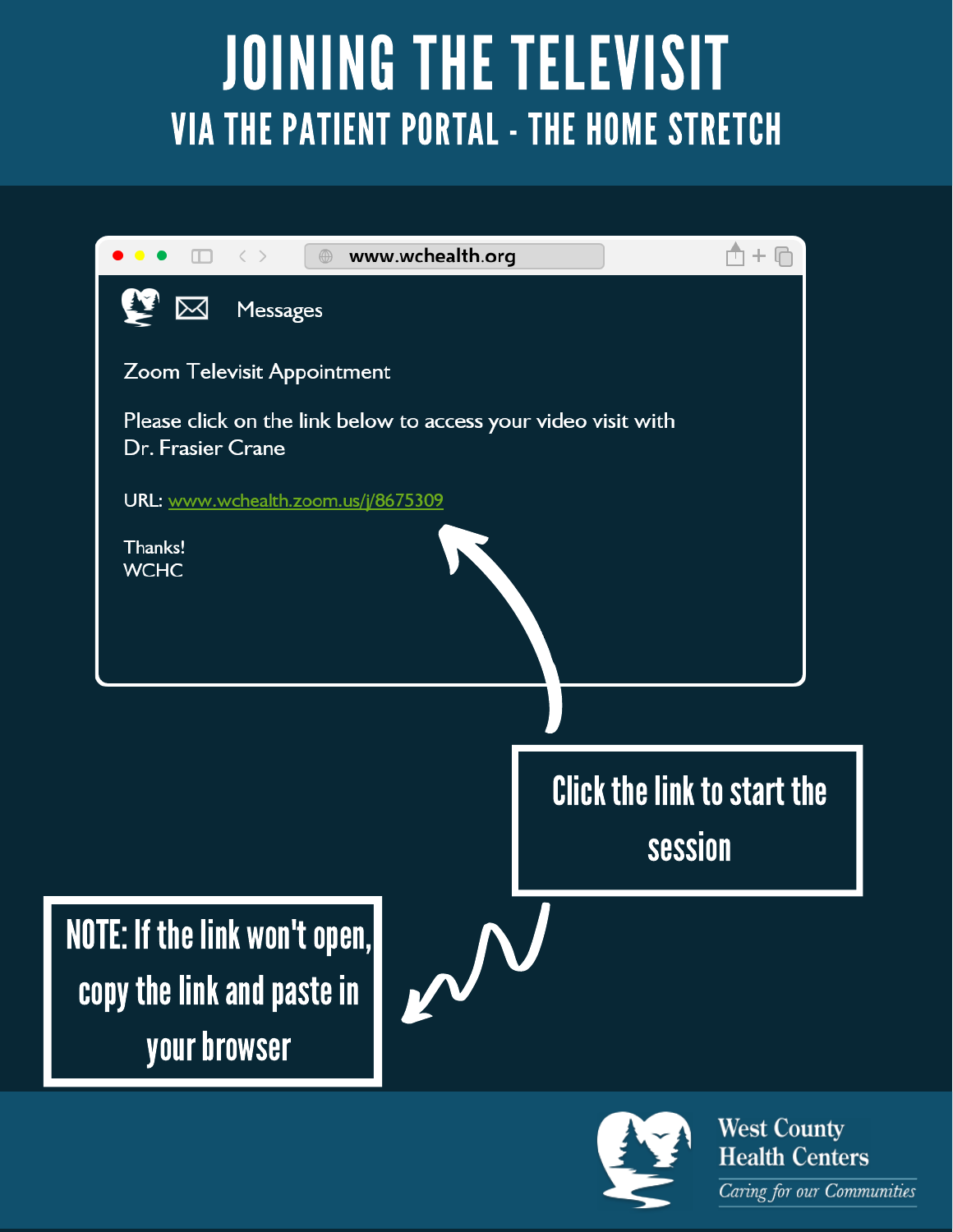# JOINING THE TELEVISIT VIA THE PATIENT PORTAL - THE HOME STRETCH



**Health Centers** Caring for our Communities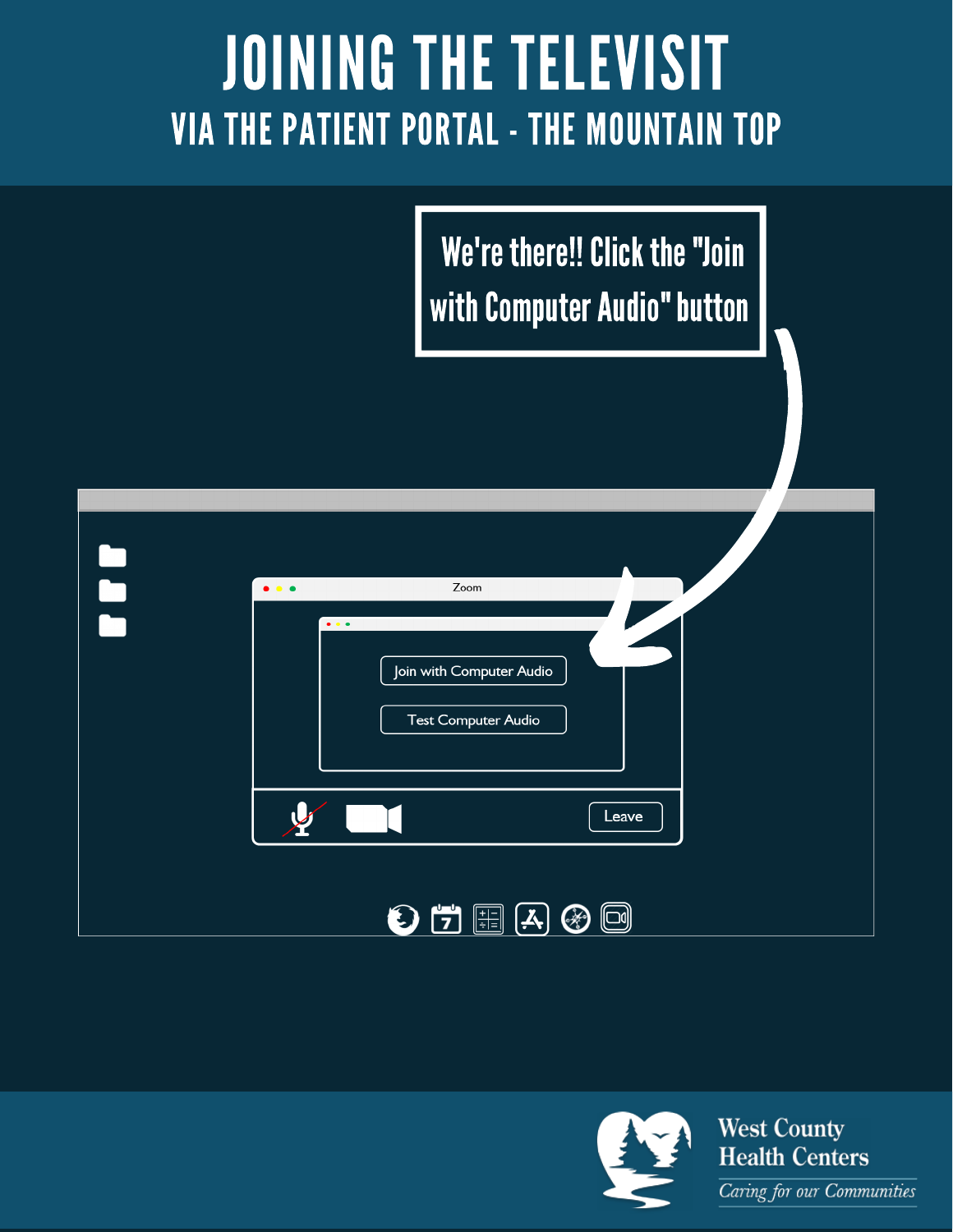### JOINING THE TELEVISIT VIA THE PATIENT PORTAL - THE MOUNTAIN TOP

We're there!! Click the "Join with Computer Audio" button